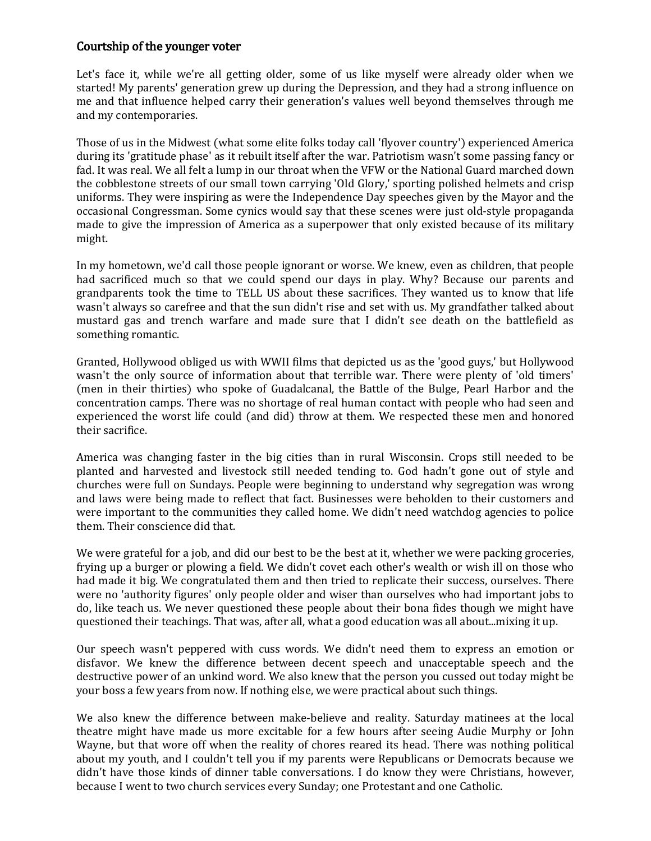## Courtship of the younger voter

Let's face it, while we're all getting older, some of us like myself were already older when we started! My parents' generation grew up during the Depression, and they had a strong influence on me and that influence helped carry their generation's values well beyond themselves through me and my contemporaries.

Those of us in the Midwest (what some elite folks today call 'flyover country') experienced America during its 'gratitude phase' as it rebuilt itself after the war. Patriotism wasn't some passing fancy or fad. It was real. We all felt a lump in our throat when the VFW or the National Guard marched down the cobblestone streets of our small town carrying 'Old Glory,' sporting polished helmets and crisp uniforms. They were inspiring as were the Independence Day speeches given by the Mayor and the occasional Congressman. Some cynics would say that these scenes were just old-style propaganda made to give the impression of America as a superpower that only existed because of its military might.

In my hometown, we'd call those people ignorant or worse. We knew, even as children, that people had sacrificed much so that we could spend our days in play. Why? Because our parents and grandparents took the time to TELL US about these sacrifices. They wanted us to know that life wasn't always so carefree and that the sun didn't rise and set with us. My grandfather talked about mustard gas and trench warfare and made sure that I didn't see death on the battlefield as something romantic.

Granted, Hollywood obliged us with WWII films that depicted us as the 'good guys,' but Hollywood wasn't the only source of information about that terrible war. There were plenty of 'old timers' (men in their thirties) who spoke of Guadalcanal, the Battle of the Bulge, Pearl Harbor and the concentration camps. There was no shortage of real human contact with people who had seen and experienced the worst life could (and did) throw at them. We respected these men and honored their sacrifice.

America was changing faster in the big cities than in rural Wisconsin. Crops still needed to be planted and harvested and livestock still needed tending to. God hadn't gone out of style and churches were full on Sundays. People were beginning to understand why segregation was wrong and laws were being made to reflect that fact. Businesses were beholden to their customers and were important to the communities they called home. We didn't need watchdog agencies to police them. Their conscience did that.

We were grateful for a job, and did our best to be the best at it, whether we were packing groceries, frying up a burger or plowing a field. We didn't covet each other's wealth or wish ill on those who had made it big. We congratulated them and then tried to replicate their success, ourselves. There were no 'authority figures' only people older and wiser than ourselves who had important jobs to do, like teach us. We never questioned these people about their bona fides though we might have questioned their teachings. That was, after all, what a good education was all about...mixing it up.

Our speech wasn't peppered with cuss words. We didn't need them to express an emotion or disfavor. We knew the difference between decent speech and unacceptable speech and the destructive power of an unkind word. We also knew that the person you cussed out today might be your boss a few years from now. If nothing else, we were practical about such things.

We also knew the difference between make-believe and reality. Saturday matinees at the local theatre might have made us more excitable for a few hours after seeing Audie Murphy or John Wayne, but that wore off when the reality of chores reared its head. There was nothing political about my youth, and I couldn't tell you if my parents were Republicans or Democrats because we didn't have those kinds of dinner table conversations. I do know they were Christians, however, because I went to two church services every Sunday; one Protestant and one Catholic.